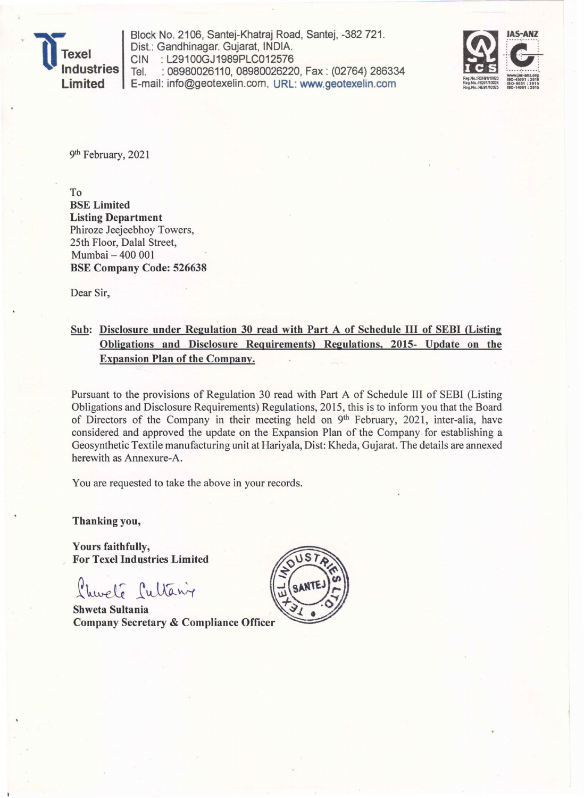

Block No. 2106, Santej-Khatraj Road, Santej, -382 721. Dist.: Gandhinagar. Gujarat, INDIA. CIN : L29100GJ1989PLC012576<br>Tel. : 08980026110. 08980026220 : 08980026110, 08980026220, Fax: (02764) 286334 Limited | E-mail: info@geotexelin.com, URL: www.geotexelin.com



9th February, 2021

To BSE Limited Listing Department Phiroze Jeejeebhoy Towers, 25th Floor, Dalal Street, Mumbai - 400 001 BSE Company Code: 526638

Dear Sir,

## Sub: Disclosure under Regulation 30 read with Part A of Schedule III of SEBI (Listing Obligations and Disclosure Requirements) Regulations, 2015- Update on the Expansion Plan of the Company.

Pursuant to the provisions of Regulation 30 read with Part A of Schedule III of SEBI (Listing Obligations and Disclosure Requirements) Regulations, 2015, this is to inform you that the Board of Directors of the Company in their meeting held on 9<sup>th</sup> February, 2021, inter-alia, have considered and approved the update on the Expansion Plan of the Company. for establishing a Geosynthetic Textile manufacturing unit at Hariyala, Dist: Kheda, Gujarat. The details are annexed herewith as Annexure-A.

You are requested to take the above in your records.

Thanking you,

Yours faithfully; For Texel Industries Limited

L'hureté Cultain

**Shweta Sultania Company Secretary & Compliance Officer**